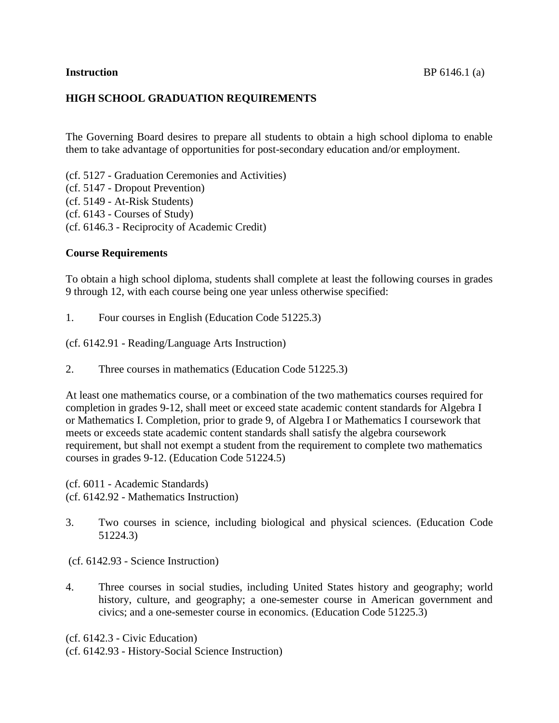# **HIGH SCHOOL GRADUATION REQUIREMENTS**

The Governing Board desires to prepare all students to obtain a high school diploma to enable them to take advantage of opportunities for post-secondary education and/or employment.

(cf. 5127 - Graduation Ceremonies and Activities) (cf. 5147 - Dropout Prevention) (cf. 5149 - At-Risk Students) (cf. [6143](http://www.gamutonline.net/displayPolicy/292826/6) - Courses of Study) (cf. [6146.3](http://www.gamutonline.net/displayPolicy/222841/6) - Reciprocity of Academic Credit)

## **Course Requirements**

To obtain a high school diploma, students shall complete at least the following courses in grades 9 through 12, with each course being one year unless otherwise specified:

1. Four courses in English (Education Code 51225.3)

(cf. 6142.91 - Reading/Language Arts Instruction)

2. Three courses in mathematics (Education Code 51225.3)

At least one mathematics course, or a combination of the two mathematics courses required for completion in grades 9-12, shall meet or exceed state academic content standards for Algebra I or Mathematics I. Completion, prior to grade 9, of Algebra I or Mathematics I coursework that meets or exceeds state academic content standards shall satisfy the algebra coursework requirement, but shall not exempt a student from the requirement to complete two mathematics courses in grades 9-12. (Education Code [51224.5\)](http://www.gamutonline.net/displayPolicy/226275/6)

(cf. 6011 - Academic Standards)

- (cf. 6142.92 Mathematics Instruction)
- 3. Two courses in science, including biological and physical sciences. (Education Code 51224.3)
- (cf. 6142.93 Science Instruction)
- 4. Three courses in social studies, including United States history and geography; world history, culture, and geography; a one-semester course in American government and civics; and a one-semester course in economics. (Education Code 51225.3)

(cf. [6142.3](http://www.gamutonline.net/displayPolicy/411101/6) - Civic Education)

(cf. [6142.93](http://www.gamutonline.net/displayPolicy/170981/6) - History-Social Science Instruction)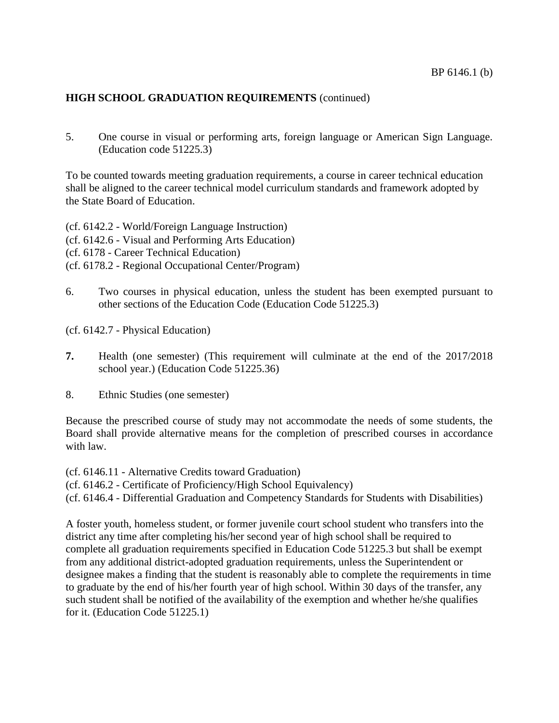# **HIGH SCHOOL GRADUATION REQUIREMENTS** (continued)

5. One course in visual or performing arts, foreign language or American Sign Language. (Education code 51225.3)

To be counted towards meeting graduation requirements, a course in career technical education shall be aligned to the career technical model curriculum standards and framework adopted by the State Board of Education.

(cf. [6142.2](http://www.gamutonline.net/displayPolicy/559079/6) - World/Foreign Language Instruction) (cf. [6142.6](http://www.gamutonline.net/displayPolicy/171550/6) - Visual and Performing Arts Education) (cf. [6178](http://www.gamutonline.net/displayPolicy/211110/6) - Career Technical Education) (cf. [6178.2](http://www.gamutonline.net/displayPolicy/500011/6) - Regional Occupational Center/Program)

6. Two courses in physical education, unless the student has been exempted pursuant to other sections of the Education Code (Education Code 51225.3)

(cf. 6142.7 - Physical Education)

- **7.** Health (one semester) (This requirement will culminate at the end of the 2017/2018 school year.) (Education Code 51225.36)
- 8. Ethnic Studies (one semester)

Because the prescribed course of study may not accommodate the needs of some students, the Board shall provide alternative means for the completion of prescribed courses in accordance with law.

(cf. 6146.11 - Alternative Credits toward Graduation)

(cf. 6146.2 - Certificate of Proficiency/High School Equivalency)

(cf. 6146.4 - Differential Graduation and Competency Standards for Students with Disabilities)

A foster youth, homeless student, or former juvenile court school student who transfers into the district any time after completing his/her second year of high school shall be required to complete all graduation requirements specified in Education Code 51225.3 but shall be exempt from any additional district-adopted graduation requirements, unless the Superintendent or designee makes a finding that the student is reasonably able to complete the requirements in time to graduate by the end of his/her fourth year of high school. Within 30 days of the transfer, any such student shall be notified of the availability of the exemption and whether he/she qualifies for it. (Education Code 51225.1)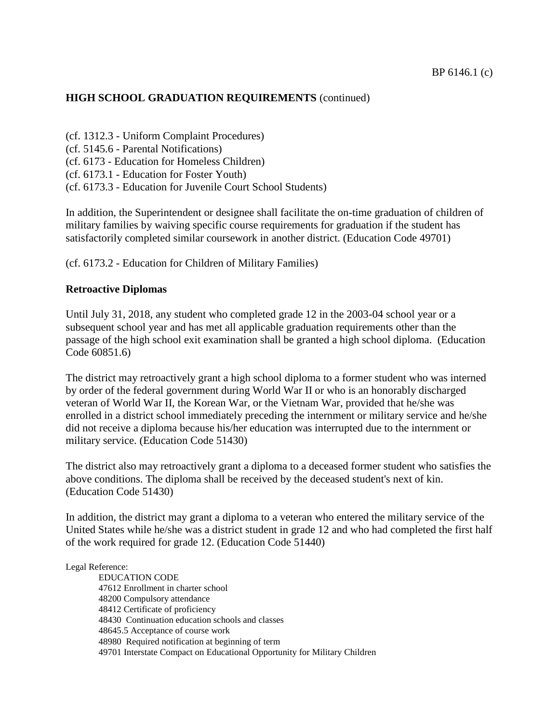# **HIGH SCHOOL GRADUATION REQUIREMENTS** (continued)

(cf. 1312.3 - Uniform Complaint Procedures) (cf. 5145.6 - Parental Notifications) (cf. 6173 - Education for Homeless Children) (cf. 6173.1 - Education for Foster Youth) (cf. 6173.3 - Education for Juvenile Court School Students)

In addition, the Superintendent or designee shall facilitate the on-time graduation of children of military families by waiving specific course requirements for graduation if the student has satisfactorily completed similar coursework in another district. (Education Code 49701)

(cf. 6173.2 - Education for Children of Military Families)

## **Retroactive Diplomas**

Until July 31, 2018, any student who completed grade 12 in the 2003-04 school year or a subsequent school year and has met all applicable graduation requirements other than the passage of the high school exit examination shall be granted a high school diploma. (Education Code 60851.6)

The district may retroactively grant a high school diploma to a former student who was interned by order of the federal government during World War II or who is an honorably discharged veteran of World War II, the Korean War, or the Vietnam War, provided that he/she was enrolled in a district school immediately preceding the internment or military service and he/she did not receive a diploma because his/her education was interrupted due to the internment or military service. (Education Code [51430\)](http://www.gamutonline.net/displayPolicy/315505/6)

The district also may retroactively grant a diploma to a deceased former student who satisfies the above conditions. The diploma shall be received by the deceased student's next of kin. (Education Code [51430\)](http://www.gamutonline.net/displayPolicy/315505/6)

In addition, the district may grant a diploma to a veteran who entered the military service of the United States while he/she was a district student in grade 12 and who had completed the first half of the work required for grade 12. (Education Code [51440\)](http://www.gamutonline.net/displayPolicy/132717/6)

## Legal Reference:

EDUCATION CODE [47612](http://www.gamutonline.net/displayPolicy/137780/6) Enrollment in charter school [48200](http://www.gamutonline.net/displayPolicy/132067/6) Compulsory attendance [48412](http://www.gamutonline.net/displayPolicy/132147/6) Certificate of proficiency 48430 Continuation education schools and classes 48645.5 Acceptance of course work 48980 Required notification at beginning of term [49701](http://www.gamutonline.net/displayPolicy/600235/6) Interstate Compact on Educational Opportunity for Military Children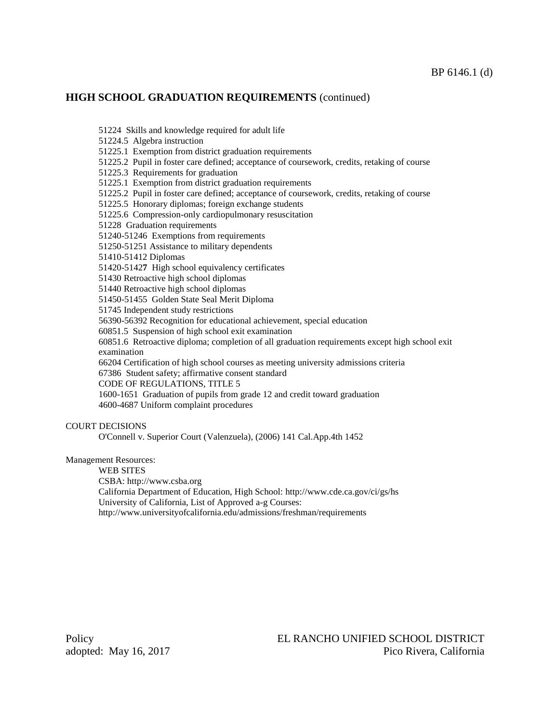## **HIGH SCHOOL GRADUATION REQUIREMENTS** (continued)

51224 Skills and knowledge required for adult life

51224.5 Algebra instruction

51225.1 Exemption from district graduation requirements

51225.2 Pupil in foster care defined; acceptance of coursework, credits, retaking of course

51225.3 Requirements for graduation

51225.1 Exemption from district graduation requirements

51225.2 Pupil in foster care defined; acceptance of coursework, credits, retaking of course

51225.5 Honorary diplomas; foreign exchange students

51225.6 Compression-only cardiopulmonary resuscitation

51228 Graduation requirements

51240-51246 Exemptions from requirements

[51250](http://www.gamutonline.net/displayPolicy/420914/6)[-51251](http://www.gamutonline.net/displayPolicy/420915/6) Assistance to military dependents

51410-51412 Diplomas

51420-5142**7** High school equivalency certificates

51430 Retroactive high school diplomas

51440 Retroactive high school diplomas

51450-51455 Golden State Seal Merit Diploma

[51745](http://www.gamutonline.net/displayPolicy/137989/6) Independent study restrictions

[56390](http://www.gamutonline.net/displayPolicy/226291/6)[-56392](http://www.gamutonline.net/displayPolicy/226293/6) Recognition for educational achievement, special education

60851.5 Suspension of high school exit examination

60851.6 Retroactive diploma; completion of all graduation requirements except high school exit examination

[66204](http://www.gamutonline.net/displayPolicy/133987/6) Certification of high school courses as meeting university admissions criteria

67386 Student safety; affirmative consent standard

CODE OF REGULATIONS, TITLE 5

1600-1651 Graduation of pupils from grade 12 and credit toward graduation 4600-4687 Uniform complaint procedures

#### COURT DECISIONS

O'Connell v. Superior Court (Valenzuela), (2006) 141 Cal.App.4th 1452

Management Resources:

WEB SITES

CSBA: [http://www.csba.org](http://www.csba.org/)

California Department of Education, High School[: http://www.cde.ca.gov/ci/gs/hs](http://www.cde.ca.gov/ci/gs/hs)

University of California, List of Approved a-g Courses:

<http://www.universityofcalifornia.edu/admissions/freshman/requirements>